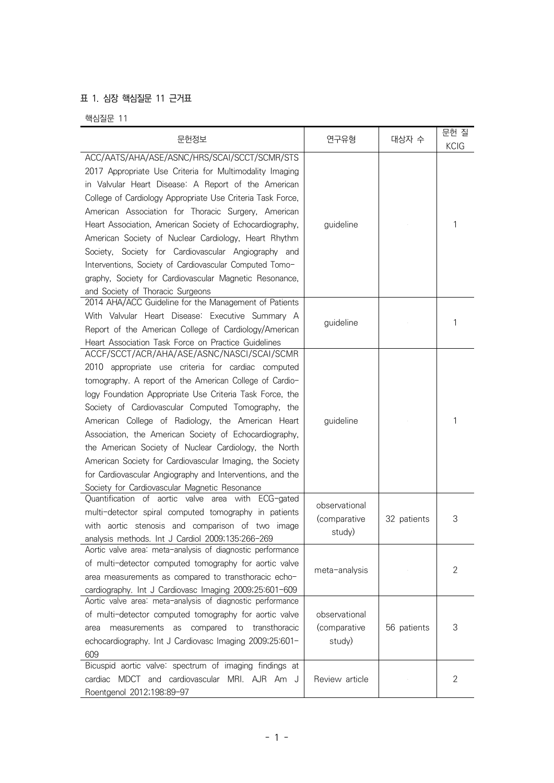## 표 1. 심장 핵심질문 11 근거표

핵심질문 11

| 문헌정보                                                                                                                                                                                                                                                                                                                                                                                                                                                                                                                                                                                                                            | 연구유형                                    | 대상자 수       | 문헌 질<br><b>KCIG</b> |
|---------------------------------------------------------------------------------------------------------------------------------------------------------------------------------------------------------------------------------------------------------------------------------------------------------------------------------------------------------------------------------------------------------------------------------------------------------------------------------------------------------------------------------------------------------------------------------------------------------------------------------|-----------------------------------------|-------------|---------------------|
| ACC/AATS/AHA/ASE/ASNC/HRS/SCAI/SCCT/SCMR/STS<br>2017 Appropriate Use Criteria for Multimodality Imaging<br>in Valvular Heart Disease: A Report of the American<br>College of Cardiology Appropriate Use Criteria Task Force,<br>American Association for Thoracic Surgery, American<br>Heart Association, American Society of Echocardiography,<br>American Society of Nuclear Cardiology, Heart Rhythm<br>Society, Society for Cardiovascular Angiography and<br>Interventions, Society of Cardiovascular Computed Tomo-<br>graphy, Society for Cardiovascular Magnetic Resonance,<br>and Society of Thoracic Surgeons         | guideline                               |             | 1                   |
| 2014 AHA/ACC Guideline for the Management of Patients<br>With Valvular Heart Disease: Executive Summary A<br>Report of the American College of Cardiology/American<br>Heart Association Task Force on Practice Guidelines                                                                                                                                                                                                                                                                                                                                                                                                       | guideline                               |             | 1                   |
| ACCF/SCCT/ACR/AHA/ASE/ASNC/NASCI/SCAI/SCMR<br>2010 appropriate use criteria for cardiac computed<br>tomography. A report of the American College of Cardio-<br>logy Foundation Appropriate Use Criteria Task Force, the<br>Society of Cardiovascular Computed Tomography, the<br>American College of Radiology, the American Heart<br>Association, the American Society of Echocardiography,<br>the American Society of Nuclear Cardiology, the North<br>American Society for Cardiovascular Imaging, the Society<br>for Cardiovascular Angiography and Interventions, and the<br>Society for Cardiovascular Magnetic Resonance | guideline                               |             | 1                   |
| Quantification of aortic valve area with ECG-gated<br>multi-detector spiral computed tomography in patients<br>with aortic stenosis and comparison of two image<br>analysis methods. Int J Cardiol 2009;135:266-269                                                                                                                                                                                                                                                                                                                                                                                                             | observational<br>(comparative<br>study) | 32 patients | 3                   |
| Aortic valve area: meta-analysis of diagnostic performance<br>of multi-detector computed tomography for aortic valve<br>area measurements as compared to transthoracic echo-<br>cardiography. Int J Cardiovasc Imaging 2009;25:601-609                                                                                                                                                                                                                                                                                                                                                                                          | meta-analysis                           |             | 2                   |
| Aortic valve area: meta-analysis of diagnostic performance<br>of multi-detector computed tomography for aortic valve<br>measurements as compared to<br>transthoracic<br>area<br>echocardiography. Int J Cardiovasc Imaging 2009;25:601-<br>609                                                                                                                                                                                                                                                                                                                                                                                  | observational<br>(comparative<br>study) | 56 patients | 3                   |
| Bicuspid aortic valve: spectrum of imaging findings at<br>MDCT and cardiovascular MRI. AJR Am J<br>cardiac<br>Roentgenol 2012;198:89-97                                                                                                                                                                                                                                                                                                                                                                                                                                                                                         | Review article                          |             | 2                   |